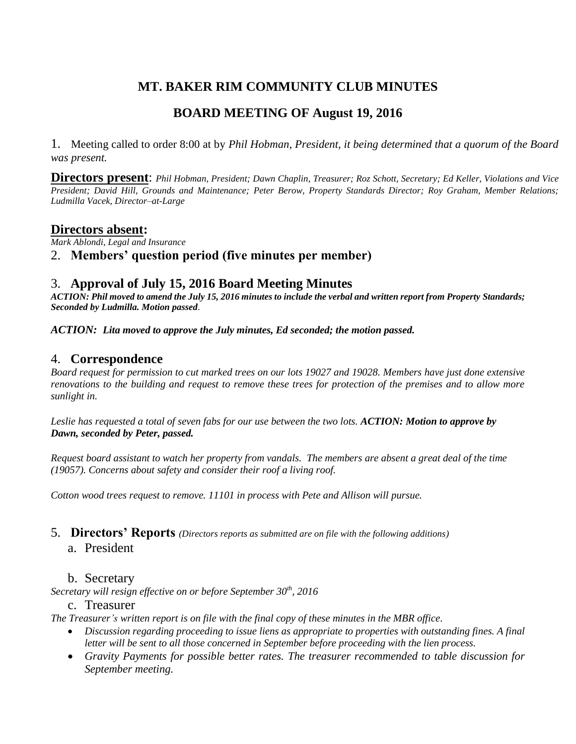# **MT. BAKER RIM COMMUNITY CLUB MINUTES**

# **BOARD MEETING OF August 19, 2016**

1. Meeting called to order 8:00 at by *Phil Hobman, President, it being determined that a quorum of the Board was present.* 

**Directors present**: *Phil Hobman, President; Dawn Chaplin, Treasurer; Roz Schott, Secretary; Ed Keller, Violations and Vice President; David Hill, Grounds and Maintenance; Peter Berow, Property Standards Director; Roy Graham, Member Relations; Ludmilla Vacek, Director–at-Large*

## **Directors absent:**

*Mark Ablondi, Legal and Insurance*

# 2. **Members' question period (five minutes per member)**

### 3. **Approval of July 15, 2016 Board Meeting Minutes**

*ACTION: Phil moved to amend the July 15, 2016 minutes to include the verbal and written report from Property Standards; Seconded by Ludmilla. Motion passed.*

*ACTION: Lita moved to approve the July minutes, Ed seconded; the motion passed.*

### 4. **Correspondence**

*Board request for permission to cut marked trees on our lots 19027 and 19028. Members have just done extensive renovations to the building and request to remove these trees for protection of the premises and to allow more sunlight in.*

*Leslie has requested a total of seven fabs for our use between the two lots. ACTION: Motion to approve by Dawn, seconded by Peter, passed.*

*Request board assistant to watch her property from vandals. The members are absent a great deal of the time (19057). Concerns about safety and consider their roof a living roof.*

*Cotton wood trees request to remove. 11101 in process with Pete and Allison will pursue.*

#### 5. **Directors' Reports** *(Directors reports as submitted are on file with the following additions)*

#### a. President

#### b. Secretary

*Secretary will resign effective on or before September 30th, 2016*

#### c. Treasurer

*The Treasurer's written report is on file with the final copy of these minutes in the MBR office.*

- *Discussion regarding proceeding to issue liens as appropriate to properties with outstanding fines. A final letter will be sent to all those concerned in September before proceeding with the lien process.*
- *Gravity Payments for possible better rates. The treasurer recommended to table discussion for September meeting.*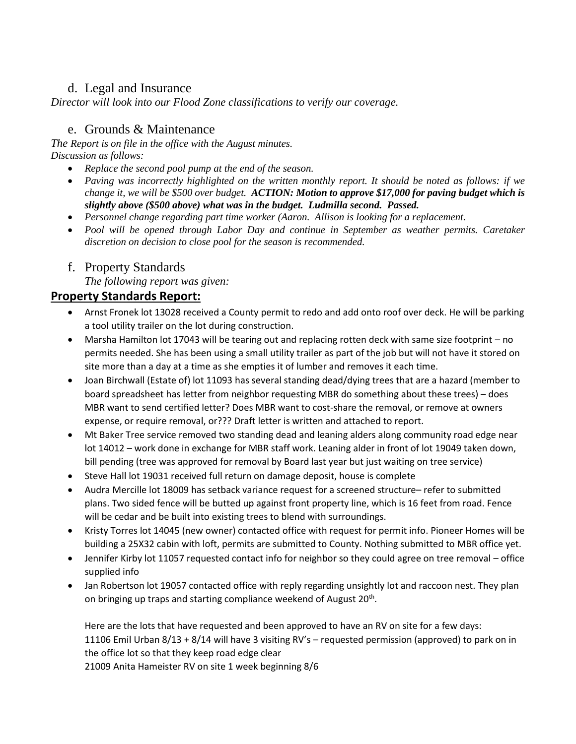# d. Legal and Insurance

*Director will look into our Flood Zone classifications to verify our coverage.*

# e. Grounds & Maintenance

*The Report is on file in the office with the August minutes. Discussion as follows:*

- *Replace the second pool pump at the end of the season.*
- *Paving was incorrectly highlighted on the written monthly report. It should be noted as follows: if we change it, we will be \$500 over budget. ACTION: Motion to approve \$17,000 for paving budget which is slightly above (\$500 above) what was in the budget. Ludmilla second. Passed.*
- *Personnel change regarding part time worker (Aaron. Allison is looking for a replacement.*
- *Pool will be opened through Labor Day and continue in September as weather permits. Caretaker discretion on decision to close pool for the season is recommended.*
- f. Property Standards

*The following report was given:*

# **Property Standards Report:**

- Arnst Fronek lot 13028 received a County permit to redo and add onto roof over deck. He will be parking a tool utility trailer on the lot during construction.
- Marsha Hamilton lot 17043 will be tearing out and replacing rotten deck with same size footprint no permits needed. She has been using a small utility trailer as part of the job but will not have it stored on site more than a day at a time as she empties it of lumber and removes it each time.
- Joan Birchwall (Estate of) lot 11093 has several standing dead/dying trees that are a hazard (member to board spreadsheet has letter from neighbor requesting MBR do something about these trees) – does MBR want to send certified letter? Does MBR want to cost-share the removal, or remove at owners expense, or require removal, or??? Draft letter is written and attached to report.
- Mt Baker Tree service removed two standing dead and leaning alders along community road edge near lot 14012 – work done in exchange for MBR staff work. Leaning alder in front of lot 19049 taken down, bill pending (tree was approved for removal by Board last year but just waiting on tree service)
- Steve Hall lot 19031 received full return on damage deposit, house is complete
- Audra Mercille lot 18009 has setback variance request for a screened structure– refer to submitted plans. Two sided fence will be butted up against front property line, which is 16 feet from road. Fence will be cedar and be built into existing trees to blend with surroundings.
- Kristy Torres lot 14045 (new owner) contacted office with request for permit info. Pioneer Homes will be building a 25X32 cabin with loft, permits are submitted to County. Nothing submitted to MBR office yet.
- Jennifer Kirby lot 11057 requested contact info for neighbor so they could agree on tree removal office supplied info
- Jan Robertson lot 19057 contacted office with reply regarding unsightly lot and raccoon nest. They plan on bringing up traps and starting compliance weekend of August 20<sup>th</sup>.

Here are the lots that have requested and been approved to have an RV on site for a few days: 11106 Emil Urban 8/13 + 8/14 will have 3 visiting RV's – requested permission (approved) to park on in the office lot so that they keep road edge clear 21009 Anita Hameister RV on site 1 week beginning 8/6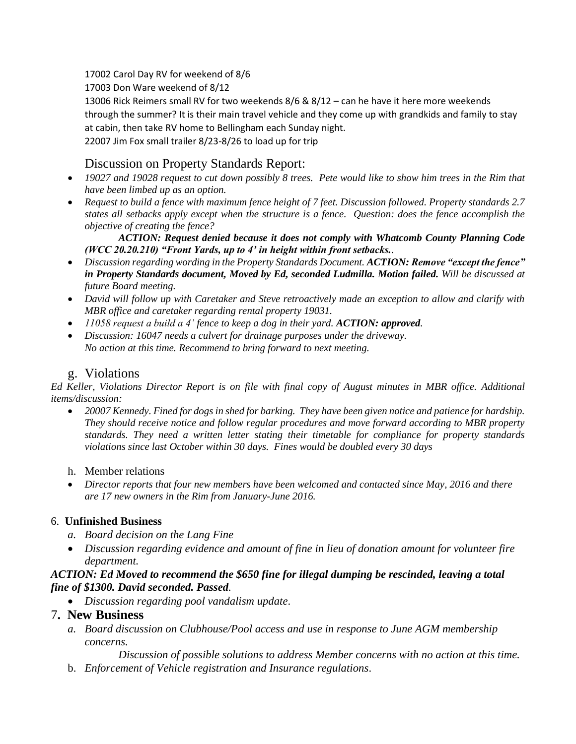17002 Carol Day RV for weekend of 8/6

17003 Don Ware weekend of 8/12

13006 Rick Reimers small RV for two weekends 8/6 & 8/12 – can he have it here more weekends through the summer? It is their main travel vehicle and they come up with grandkids and family to stay at cabin, then take RV home to Bellingham each Sunday night. 22007 Jim Fox small trailer 8/23-8/26 to load up for trip

# Discussion on Property Standards Report:

- *19027 and 19028 request to cut down possibly 8 trees. Pete would like to show him trees in the Rim that have been limbed up as an option.*
- *Request to build a fence with maximum fence height of 7 feet. Discussion followed. Property standards 2.7 states all setbacks apply except when the structure is a fence. Question: does the fence accomplish the objective of creating the fence?*

*ACTION: Request denied because it does not comply with Whatcomb County Planning Code (WCC 20.20.210) "Front Yards, up to 4' in height within front setbacks..*

- *Discussion regarding wording in the Property Standards Document. ACTION: Remove "except the fence" in Property Standards document, Moved by Ed, seconded Ludmilla. Motion failed. Will be discussed at future Board meeting.*
- *David will follow up with Caretaker and Steve retroactively made an exception to allow and clarify with MBR office and caretaker regarding rental property 19031.*
- *11058 request a build a 4' fence to keep a dog in their yard. ACTION: approved.*
- *Discussion: 16047 needs a culvert for drainage purposes under the driveway. No action at this time. Recommend to bring forward to next meeting.*

# g. Violations

*Ed Keller, Violations Director Report is on file with final copy of August minutes in MBR office. Additional items/discussion:*

 *20007 Kennedy. Fined for dogs in shed for barking. They have been given notice and patience for hardship. They should receive notice and follow regular procedures and move forward according to MBR property standards. They need a written letter stating their timetable for compliance for property standards violations since last October within 30 days. Fines would be doubled every 30 days* 

## h. Member relations

 *Director reports that four new members have been welcomed and contacted since May, 2016 and there are 17 new owners in the Rim from January-June 2016.*

## 6. **Unfinished Business**

- *a. Board decision on the Lang Fine*
- *Discussion regarding evidence and amount of fine in lieu of donation amount for volunteer fire department.*

### *ACTION: Ed Moved to recommend the \$650 fine for illegal dumping be rescinded, leaving a total fine of \$1300. David seconded. Passed.*

*Discussion regarding pool vandalism update*.

## 7**. New Business**

*a. Board discussion on Clubhouse/Pool access and use in response to June AGM membership concerns.* 

*Discussion of possible solutions to address Member concerns with no action at this time.* b. *Enforcement of Vehicle registration and Insurance regulations*.